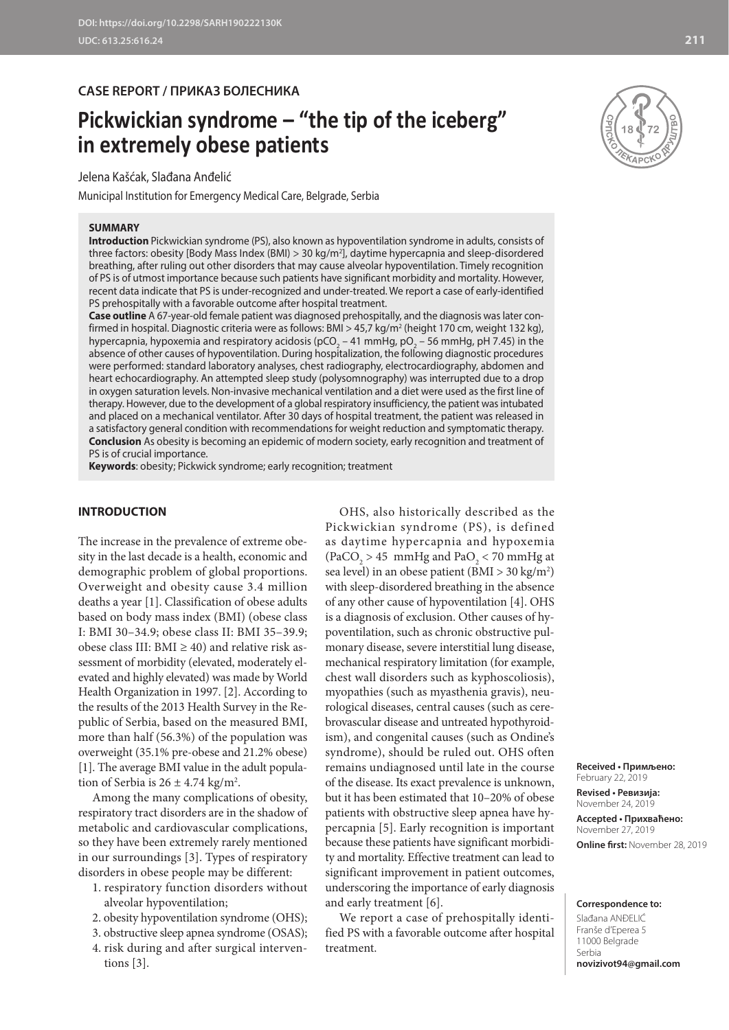## **CASE REPORT / ПРИКАЗ БОЛЕСНИКА**

# **Pickwickian syndrome – "the tip of the iceberg" in extremely obese patients**

Jelena Kašćak, Slađana Anđelić

Municipal Institution for Emergency Medical Care, Belgrade, Serbia

#### **SUMMARY**



**Introduction** Pickwickian syndrome (PS), also known as hypoventilation syndrome in adults, consists of three factors: obesity [Body Mass Index (BMI) > 30 kg/m2 ], daytime hypercapnia and sleep-disordered breathing, after ruling out other disorders that may cause alveolar hypoventilation. Timely recognition of PS is of utmost importance because such patients have significant morbidity and mortality. However, recent data indicate that PS is under-recognized and under-treated. We report a case of early-identified PS prehospitally with a favorable outcome after hospital treatment.

**Case outline** A 67-year-old female patient was diagnosed prehospitally, and the diagnosis was later confirmed in hospital. Diagnostic criteria were as follows: BMI > 45,7 kg/m² (height 170 cm, weight 132 kg), hypercapnia, hypoxemia and respiratory acidosis (pCO<sub>2</sub> – 41 mmHg, pO<sub>2</sub> – 56 mmHg, pH 7.45) in the absence of other causes of hypoventilation. During hospitalization, the following diagnostic procedures were performed: standard laboratory analyses, chest radiography, electrocardiography, abdomen and heart echocardiography. An attempted sleep study (polysomnography) was interrupted due to a drop in oxygen saturation levels. Non-invasive mechanical ventilation and a diet were used as the first line of therapy. However, due to the development of a global respiratory insufficiency, the patient was intubated and placed on a mechanical ventilator. After 30 days of hospital treatment, the patient was released in a satisfactory general condition with recommendations for weight reduction and symptomatic therapy. **Conclusion** As obesity is becoming an epidemic of modern society, early recognition and treatment of PS is of crucial importance.

**Keywords**: obesity; Pickwick syndrome; early recognition; treatment

## **INTRODUCTION**

The increase in the prevalence of extreme obesity in the last decade is a health, economic and demographic problem of global proportions. Overweight and obesity cause 3.4 million deaths a year [1]. Classification of obese adults based on body mass index (BMI) (obese class I: BMI 30–34.9; obese class II: BMI 35–39.9; obese class III: BMI  $\geq$  40) and relative risk assessment of morbidity (elevated, moderately elevated and highly elevated) was made by World Health Organization in 1997. [2]. According to the results of the 2013 Health Survey in the Republic of Serbia, based on the measured BMI, more than half (56.3%) of the population was overweight (35.1% pre-obese and 21.2% obese) [1]. The average BMI value in the adult population of Serbia is  $26 \pm 4.74$  kg/m<sup>2</sup>.

Among the many complications of obesity, respiratory tract disorders are in the shadow of metabolic and cardiovascular complications, so they have been extremely rarely mentioned in our surroundings [3]. Types of respiratory disorders in obese people may be different:

- 1. respiratory function disorders without alveolar hypoventilation;
- 2. obesity hypoventilation syndrome (OHS);
- 3. obstructive sleep apnea syndrome (OSAS);
- 4. risk during and after surgical interventions [3].

OHS, also historically described as the Pickwickian syndrome (PS), is defined as daytime hypercapnia and hypoxemia  $(PaCO<sub>2</sub> > 45$  mmHg and  $PaO<sub>2</sub> < 70$  mmHg at sea level) in an obese patient (BMI > 30 kg/m<sup>2</sup>) with sleep-disordered breathing in the absence of any other cause of hypoventilation [4]. OHS is a diagnosis of exclusion. Other causes of hypoventilation, such as chronic obstructive pulmonary disease, severe interstitial lung disease, mechanical respiratory limitation (for example, chest wall disorders such as kyphoscoliosis), myopathies (such as myasthenia gravis), neurological diseases, central causes (such as cerebrovascular disease and untreated hypothyroidism), and congenital causes (such as Ondine's syndrome), should be ruled out. OHS often remains undiagnosed until late in the course of the disease. Its exact prevalence is unknown, but it has been estimated that 10–20% of obese patients with obstructive sleep apnea have hypercapnia [5]. Early recognition is important because these patients have significant morbidity and mortality. Effective treatment can lead to significant improvement in patient outcomes, underscoring the importance of early diagnosis and early treatment [6].

We report a case of prehospitally identified PS with a favorable outcome after hospital treatment.

**Received • Примљено:**  February 22, 2019

**Revised • Ревизија:**  November 24, 2019 **Accepted • Прихваћено:** November 27, 2019 **Online first:** November 28, 2019

**Correspondence to:**

Slađana ANĐELIĆ Franše d'Eperea 5 11000 Belgrade Serbia **novizivot94@gmail.com**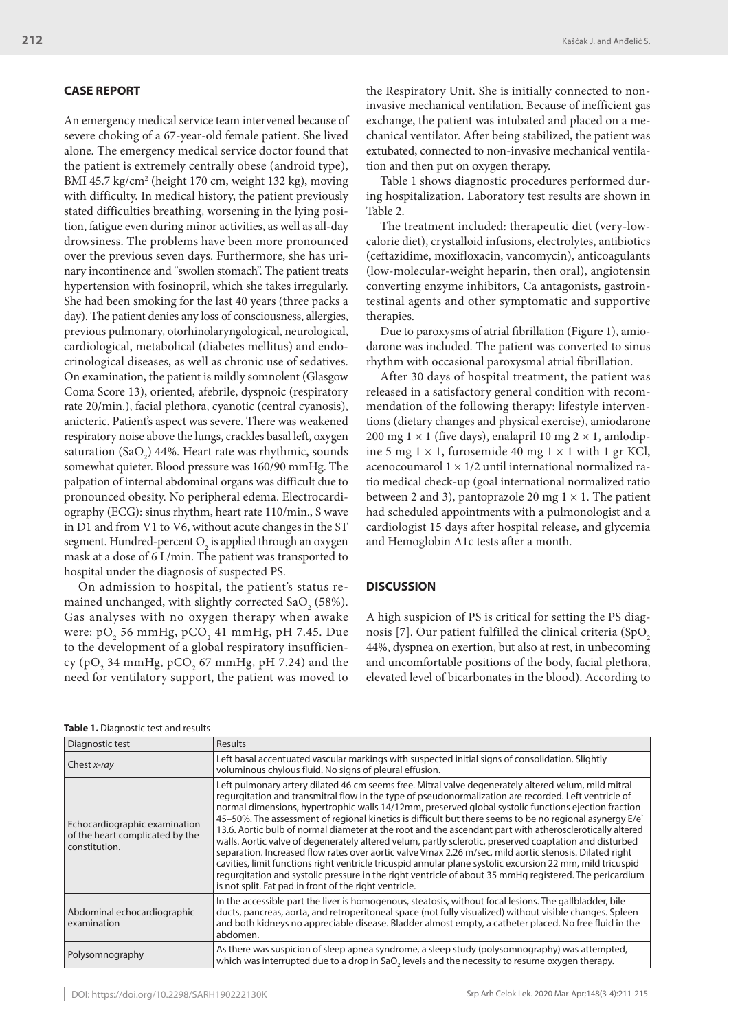## **CASE REPORT**

An emergency medical service team intervened because of severe choking of a 67-year-old female patient. She lived alone. The emergency medical service doctor found that the patient is extremely centrally obese (android type), BMI 45.7 kg/cm<sup>2</sup> (height 170 cm, weight 132 kg), moving with difficulty. In medical history, the patient previously stated difficulties breathing, worsening in the lying position, fatigue even during minor activities, as well as all-day drowsiness. The problems have been more pronounced over the previous seven days. Furthermore, she has urinary incontinence and "swollen stomach". The patient treats hypertension with fosinopril, which she takes irregularly. She had been smoking for the last 40 years (three packs a day). The patient denies any loss of consciousness, allergies, previous pulmonary, otorhinolaryngological, neurological, cardiological, metabolical (diabetes mellitus) and endocrinological diseases, as well as chronic use of sedatives. On examination, the patient is mildly somnolent (Glasgow Coma Score 13), oriented, afebrile, dyspnoic (respiratory rate 20/min.), facial plethora, cyanotic (central cyanosis), anicteric. Patient's aspect was severe. There was weakened respiratory noise above the lungs, crackles basal left, oxygen saturation  $(SaO<sub>2</sub>)$  44%. Heart rate was rhythmic, sounds somewhat quieter. Blood pressure was 160/90 mmHg. The palpation of internal abdominal organs was difficult due to pronounced obesity. No peripheral edema. Electrocardiography (ECG): sinus rhythm, heart rate 110/min., S wave in D1 and from V1 to V6, without acute changes in the ST segment. Hundred-percent  $O_2$  is applied through an oxygen mask at a dose of 6 L/min. The patient was transported to hospital under the diagnosis of suspected PS.

On admission to hospital, the patient's status remained unchanged, with slightly corrected SaO<sub>2</sub> (58%). Gas analyses with no oxygen therapy when awake were:  $pO_2$  56 mmHg,  $pCO_2$  41 mmHg, pH 7.45. Due to the development of a global respiratory insufficiency (pO<sub>2</sub> 34 mmHg, pCO<sub>2</sub> 67 mmHg, pH 7.24) and the need for ventilatory support, the patient was moved to

the Respiratory Unit. She is initially connected to noninvasive mechanical ventilation. Because of inefficient gas exchange, the patient was intubated and placed on a mechanical ventilator. After being stabilized, the patient was extubated, connected to non-invasive mechanical ventilation and then put on oxygen therapy.

Table 1 shows diagnostic procedures performed during hospitalization. Laboratory test results are shown in Table 2.

The treatment included: therapeutic diet (very-lowcalorie diet), crystalloid infusions, electrolytes, antibiotics (ceftazidime, moxifloxacin, vancomycin), anticoagulants (low-molecular-weight heparin, then oral), angiotensin converting enzyme inhibitors, Ca antagonists, gastrointestinal agents and other symptomatic and supportive therapies.

Due to paroxysms of atrial fibrillation (Figure 1), amiodarone was included. The patient was converted to sinus rhythm with occasional paroxysmal atrial fibrillation.

After 30 days of hospital treatment, the patient was released in a satisfactory general condition with recommendation of the following therapy: lifestyle interventions (dietary changes and physical exercise), amiodarone 200 mg  $1 \times 1$  (five days), enalapril 10 mg  $2 \times 1$ , amlodipine 5 mg  $1 \times 1$ , furosemide 40 mg  $1 \times 1$  with 1 gr KCl, acenocoumarol  $1 \times 1/2$  until international normalized ratio medical check-up (goal international normalized ratio between 2 and 3), pantoprazole 20 mg  $1 \times 1$ . The patient had scheduled appointments with a pulmonologist and a cardiologist 15 days after hospital release, and glycemia and Hemoglobin A1c tests after a month.

### **DISCUSSION**

A high suspicion of PS is critical for setting the PS diagnosis [7]. Our patient fulfilled the clinical criteria (SpO<sub>2</sub>) 44%, dyspnea on exertion, but also at rest, in unbecoming and uncomfortable positions of the body, facial plethora, elevated level of bicarbonates in the blood). According to

|  | <b>Table 1.</b> Diagnostic test and results |
|--|---------------------------------------------|
|--|---------------------------------------------|

| Diagnostic test                                                                   | Results                                                                                                                                                                                                                                                                                                                                                                                                                                                                                                                                                                                                                                                                                                                                                                                                                                                                                                                                                                                                                                               |
|-----------------------------------------------------------------------------------|-------------------------------------------------------------------------------------------------------------------------------------------------------------------------------------------------------------------------------------------------------------------------------------------------------------------------------------------------------------------------------------------------------------------------------------------------------------------------------------------------------------------------------------------------------------------------------------------------------------------------------------------------------------------------------------------------------------------------------------------------------------------------------------------------------------------------------------------------------------------------------------------------------------------------------------------------------------------------------------------------------------------------------------------------------|
| Chest x-ray                                                                       | Left basal accentuated vascular markings with suspected initial signs of consolidation. Slightly<br>voluminous chylous fluid. No signs of pleural effusion.                                                                                                                                                                                                                                                                                                                                                                                                                                                                                                                                                                                                                                                                                                                                                                                                                                                                                           |
| Echocardiographic examination<br>of the heart complicated by the<br>constitution. | Left pulmonary artery dilated 46 cm seems free. Mitral valve degenerately altered velum, mild mitral<br>regurgitation and transmitral flow in the type of pseudonormalization are recorded. Left ventricle of<br>normal dimensions, hypertrophic walls 14/12mm, preserved global systolic functions ejection fraction<br>45-50%. The assessment of regional kinetics is difficult but there seems to be no regional asynergy E/e<br>13.6. Aortic bulb of normal diameter at the root and the ascendant part with atherosclerotically altered<br>walls. Aortic valve of degenerately altered velum, partly sclerotic, preserved coaptation and disturbed<br>separation. Increased flow rates over aortic valve Vmax 2.26 m/sec, mild aortic stenosis. Dilated right<br>cavities, limit functions right ventricle tricuspid annular plane systolic excursion 22 mm, mild tricuspid<br>requrgitation and systolic pressure in the right ventricle of about 35 mmHg registered. The pericardium<br>is not split. Fat pad in front of the right ventricle. |
| Abdominal echocardiographic<br>examination                                        | In the accessible part the liver is homogenous, steatosis, without focal lesions. The gallbladder, bile<br>ducts, pancreas, aorta, and retroperitoneal space (not fully visualized) without visible changes. Spleen<br>and both kidneys no appreciable disease. Bladder almost empty, a catheter placed. No free fluid in the<br>abdomen.                                                                                                                                                                                                                                                                                                                                                                                                                                                                                                                                                                                                                                                                                                             |
| Polysomnography                                                                   | As there was suspicion of sleep apnea syndrome, a sleep study (polysomnography) was attempted,<br>which was interrupted due to a drop in SaO, levels and the necessity to resume oxygen therapy.                                                                                                                                                                                                                                                                                                                                                                                                                                                                                                                                                                                                                                                                                                                                                                                                                                                      |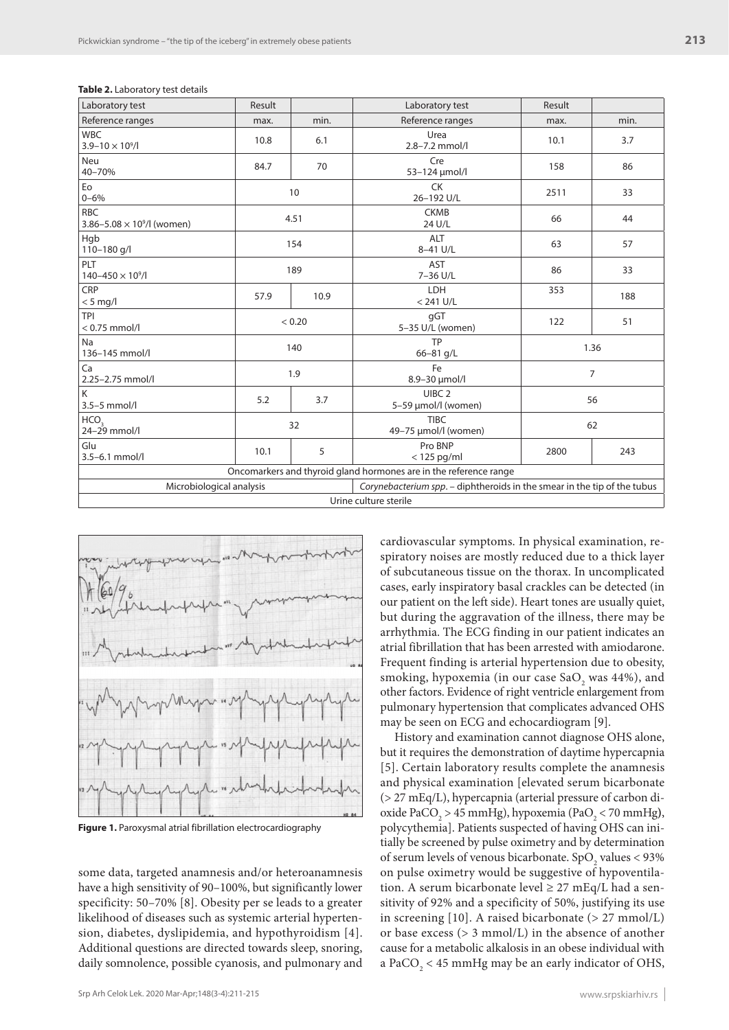| Laboratory test                                                   | Result |      | Laboratory test                                                          | Result |      |  |  |
|-------------------------------------------------------------------|--------|------|--------------------------------------------------------------------------|--------|------|--|--|
| Reference ranges                                                  | max.   | min. | Reference ranges                                                         | max.   | min. |  |  |
| <b>WBC</b><br>$3.9 - 10 \times 10^9$ /l                           | 10.8   | 6.1  | Urea<br>2.8-7.2 mmol/l                                                   | 10.1   | 3.7  |  |  |
| <b>Neu</b><br>40-70%                                              | 84.7   | 70   | Cre<br>53-124 µmol/l                                                     | 158    | 86   |  |  |
| Eo<br>$0 - 6%$                                                    | 10     |      | <b>CK</b><br>26-192 U/L                                                  | 2511   | 33   |  |  |
| <b>RBC</b><br>3.86-5.08 $\times$ 10 <sup>9</sup> /l (women)       | 4.51   |      | <b>CKMB</b><br>24 U/L                                                    | 66     | 44   |  |  |
| Hgb<br>110-180 g/l                                                | 154    |      | <b>ALT</b><br>8-41 U/L                                                   | 63     | 57   |  |  |
| PLT<br>$140 - 450 \times 10^9$ /l                                 | 189    |      | AST<br>7-36 U/L                                                          | 86     | 33   |  |  |
| CRP<br>$< 5$ mg/l                                                 | 57.9   | 10.9 | LDH<br>$< 241$ U/L                                                       | 353    | 188  |  |  |
| <b>TPI</b><br>$< 0.75$ mmol/l                                     | < 0.20 |      | qGT<br>5-35 U/L (women)                                                  | 122    | 51   |  |  |
| Na<br>136-145 mmol/l                                              | 140    |      | <b>TP</b><br>$66 - 81$ g/L                                               | 1.36   |      |  |  |
| Ca<br>2.25-2.75 mmol/l                                            | 1.9    |      | Fe<br>8.9-30 µmol/l                                                      | 7      |      |  |  |
| K<br>$3.5 - 5$ mmol/l                                             | 5.2    | 3.7  | UIBC <sub>2</sub><br>5-59 µmol/l (women)                                 | 56     |      |  |  |
| HCO <sub>3</sub><br>$24 - 29$ mmol/l                              | 32     |      | <b>TIBC</b><br>49-75 µmol/l (women)                                      | 62     |      |  |  |
| Glu<br>3.5-6.1 mmol/l                                             | 10.1   | 5    | Pro BNP<br>$<$ 125 pg/ml                                                 | 2800   | 243  |  |  |
| Oncomarkers and thyroid gland hormones are in the reference range |        |      |                                                                          |        |      |  |  |
| Microbiological analysis                                          |        |      | Corynebacterium spp. - diphtheroids in the smear in the tip of the tubus |        |      |  |  |
|                                                                   |        |      | Urine culture sterile                                                    |        |      |  |  |





**Figure 1.** Paroxysmal atrial fibrillation electrocardiography

some data, targeted anamnesis and/or heteroanamnesis have a high sensitivity of 90-100%, but significantly lower specificity: 50–70% [8]. Obesity per se leads to a greater likelihood of diseases such as systemic arterial hypertension, diabetes, dyslipidemia, and hypothyroidism [4]. Additional questions are directed towards sleep, snoring, daily somnolence, possible cyanosis, and pulmonary and

cardiovascular symptoms. In physical examination, respiratory noises are mostly reduced due to a thick layer of subcutaneous tissue on the thorax. In uncomplicated cases, early inspiratory basal crackles can be detected (in our patient on the left side). Heart tones are usually quiet, but during the aggravation of the illness, there may be arrhythmia. The ECG finding in our patient indicates an atrial fibrillation that has been arrested with amiodarone. Frequent finding is arterial hypertension due to obesity, smoking, hypoxemia (in our case  $\text{SaO}_2$  was 44%), and other factors. Evidence of right ventricle enlargement from pulmonary hypertension that complicates advanced OHS may be seen on ECG and echocardiogram [9].

History and examination cannot diagnose OHS alone, but it requires the demonstration of daytime hypercapnia [5]. Certain laboratory results complete the anamnesis and physical examination [elevated serum bicarbonate (> 27 mEq/L), hypercapnia (arterial pressure of carbon dioxide PaCO<sub>2</sub> > 45 mmHg), hypoxemia (PaO<sub>2</sub> < 70 mmHg), polycythemia]. Patients suspected of having OHS can initially be screened by pulse oximetry and by determination of serum levels of venous bicarbonate.  $SpO<sub>2</sub>$  values < 93% on pulse oximetry would be suggestive of hypoventilation. A serum bicarbonate level  $\geq$  27 mEq/L had a sensitivity of 92% and a specificity of 50%, justifying its use in screening [10]. A raised bicarbonate (> 27 mmol/L) or base excess (> 3 mmol/L) in the absence of another cause for a metabolic alkalosis in an obese individual with a PaCO<sub>2</sub> < 45 mmHg may be an early indicator of OHS,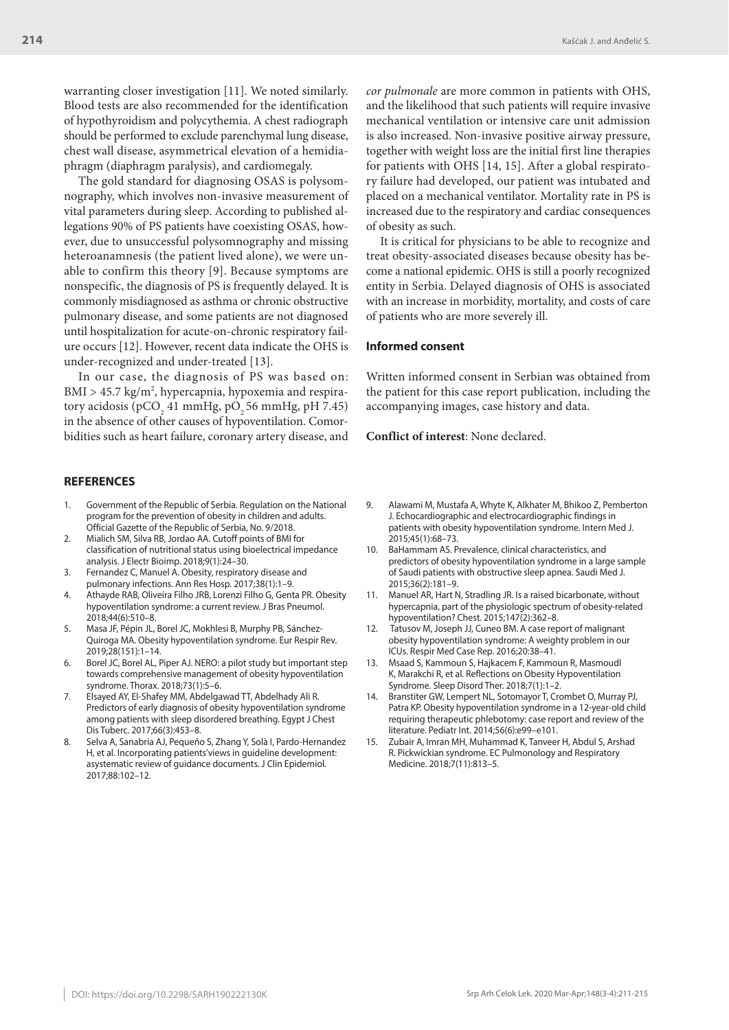warranting closer investigation [11]. We noted similarly. Blood tests are also recommended for the identification of hypothyroidism and polycythemia. A chest radiograph should be performed to exclude parenchymal lung disease, chest wall disease, asymmetrical elevation of a hemidiaphragm (diaphragm paralysis), and cardiomegaly.

The gold standard for diagnosing OSAS is polysomnography, which involves non-invasive measurement of vital parameters during sleep. According to published allegations 90% of PS patients have coexisting OSAS, however, due to unsuccessful polysomnography and missing heteroanamnesis (the patient lived alone), we were unable to confirm this theory [9]. Because symptoms are nonspecific, the diagnosis of PS is frequently delayed. It is commonly misdiagnosed as asthma or chronic obstructive pulmonary disease, and some patients are not diagnosed until hospitalization for acute-on-chronic respiratory failure occurs [12]. However, recent data indicate the OHS is under-recognized and under-treated [13].

In our case, the diagnosis of PS was based on: BMI > 45.7 kg/m<sup>2</sup>, hypercapnia, hypoxemia and respiratory acidosis (pCO<sub>2</sub> 41 mmHg, pO<sub>2</sub> 56 mmHg, pH 7.45) in the absence of other causes of hypoventilation. Comorbidities such as heart failure, coronary artery disease, and

#### **REFERENCES**

- 1. Government of the Republic of Serbia. Regulation on the National program for the prevention of obesity in children and adults. Official Gazette of the Republic of Serbia, No. 9/2018.
- 2. Mialich SM, Silva RB, Jordao AA. Cutoff points of BMI for classification of nutritional status using bioelectrical impedance analysis. J Electr Bioimp. 2018;9(1):24–30.
- 3. Fernandez C, Manuel A. Obesity, respiratory disease and pulmonary infections. Ann Res Hosp. 2017;38(1):1–9.
- 4. Athayde RAB, Oliveira Filho JRB, Lorenzi Filho G, Genta PR. Obesity hypoventilation syndrome: a current review. J Bras Pneumol. 2018;44(6):510–8.
- 5. Masa JF, Pépin JL, Borel JC, Mokhlesi B, Murphy PB, Sánchez-Quiroga MA. Obesity hypoventilation syndrome. Eur Respir Rev. 2019;28(151):1–14.
- 6. Borel JC, Borel AL, Piper AJ. NERO: a pilot study but important step towards comprehensive management of obesity hypoventilation syndrome. Thorax. 2018;73(1):5–6.
- 7. Elsayed AY, El-Shafey MM, Abdelgawad TT, Abdelhady Ali R. Predictors of early diagnosis of obesity hypoventilation syndrome among patients with sleep disordered breathing. Egypt J Chest Dis Tuberc. 2017;66(3):453–8.
- 8. Selva A, Sanabria AJ, Pequeño S, Zhang Y, Solà I, Pardo-Hernandez H, et al. Incorporating patients'views in guideline development: asystematic review of guidance documents. J Clin Epidemiol. 2017;88:102–12.

*cor pulmonale* are more common in patients with OHS, and the likelihood that such patients will require invasive mechanical ventilation or intensive care unit admission is also increased. Non-invasive positive airway pressure, together with weight loss are the initial first line therapies for patients with OHS [14, 15]. After a global respiratory failure had developed, our patient was intubated and placed on a mechanical ventilator. Mortality rate in PS is increased due to the respiratory and cardiac consequences of obesity as such.

It is critical for physicians to be able to recognize and treat obesity-associated diseases because obesity has become a national epidemic. OHS is still a poorly recognized entity in Serbia. Delayed diagnosis of OHS is associated with an increase in morbidity, mortality, and costs of care of patients who are more severely ill.

### **Informed consent**

Written informed consent in Serbian was obtained from the patient for this case report publication, including the accompanying images, case history and data.

**Conflict of interest**: None declared.

- 9. Alawami M, Mustafa A, Whyte K, Alkhater M, Bhikoo Z, Pemberton J. Echocardiographic and electrocardiographic findings in patients with obesity hypoventilation syndrome. Intern Med J. 2015;45(1):68–73.
- 10. BaHammam AS. Prevalence, clinical characteristics, and predictors of obesity hypoventilation syndrome in a large sample of Saudi patients with obstructive sleep apnea. Saudi Med J. 2015;36(2):181–9.
- 11. Manuel AR, Hart N, Stradling JR. Is a raised bicarbonate, without hypercapnia, part of the physiologic spectrum of obesity-related hypoventilation? Chest. 2015;147(2):362–8.
- 12. Tatusov M, Joseph JJ, Cuneo BM. A case report of malignant obesity hypoventilation syndrome: A weighty problem in our ICUs. Respir Med Case Rep. 2016;20:38–41.
- 13. Msaad S, Kammoun S, Hajkacem F, Kammoun R, MasmoudI K, Marakchi R, et al. Reflections on Obesity Hypoventilation Syndrome. Sleep Disord Ther. 2018;7(1):1–2.
- Branstiter GW, Lempert NL, Sotomayor T, Crombet O, Murray PJ, Patra KP. Obesity hypoventilation syndrome in a 12-year-old child requiring therapeutic phlebotomy: case report and review of the literature. Pediatr Int. 2014;56(6):e99–e101.
- 15. Zubair A, Imran MH, Muhammad K, Tanveer H, Abdul S, Arshad R. Pickwickian syndrome. EC Pulmonology and Respiratory Medicine. 2018;7(11):813–5.